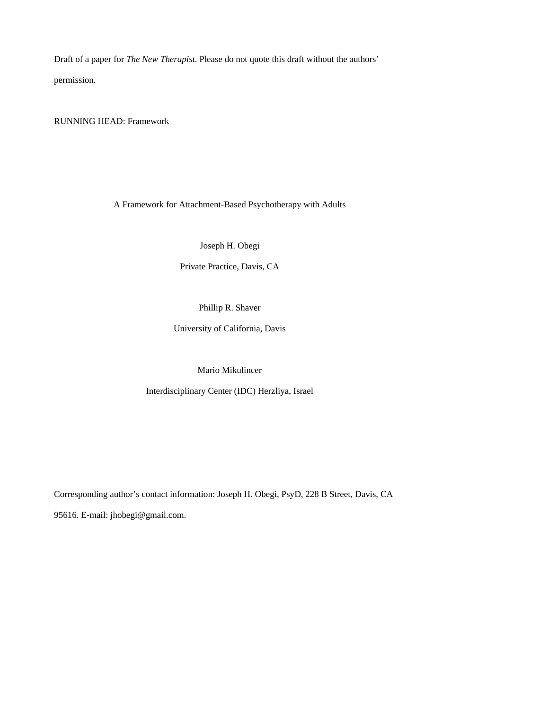Draft of a paper for *The New Therapist*. Please do not quote this draft without the authors' permission.

RUNNING HEAD: Framework

A Framework for Attachment-Based Psychotherapy with Adults

Joseph H. Obegi

Private Practice, Davis, CA

Phillip R. Shaver

University of California, Davis

Mario Mikulincer

Interdisciplinary Center (IDC) Herzliya, Israel

Corresponding author's contact information: Joseph H. Obegi, PsyD, 228 B Street, Davis, CA 95616. E-mail: jhobegi@gmail.com.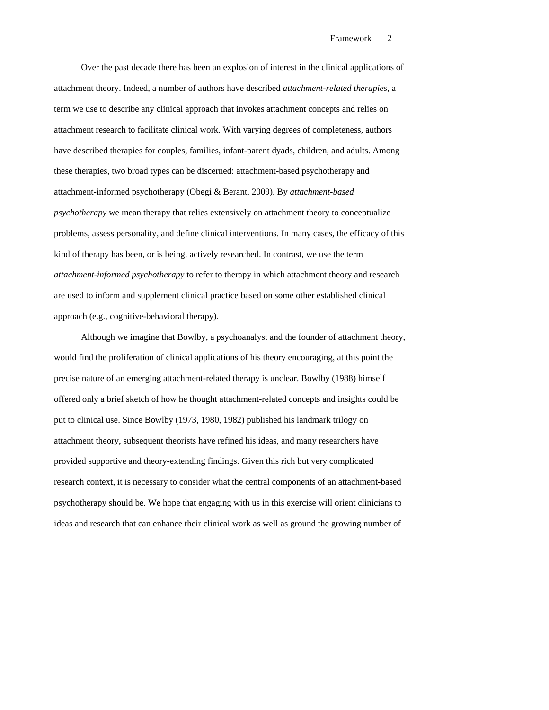Over the past decade there has been an explosion of interest in the clinical applications of attachment theory. Indeed, a number of authors have described *attachment-related therapies*, a term we use to describe any clinical approach that invokes attachment concepts and relies on attachment research to facilitate clinical work. With varying degrees of completeness, authors have described therapies for couples, families, infant-parent dyads, children, and adults. Among these therapies, two broad types can be discerned: attachment-based psychotherapy and attachment-informed psychotherapy (Obegi & Berant, 2009). By *attachment-based psychotherapy* we mean therapy that relies extensively on attachment theory to conceptualize problems, assess personality, and define clinical interventions. In many cases, the efficacy of this kind of therapy has been, or is being, actively researched. In contrast, we use the term *attachment-informed psychotherapy* to refer to therapy in which attachment theory and research are used to inform and supplement clinical practice based on some other established clinical approach (e.g., cognitive-behavioral therapy).

Although we imagine that Bowlby, a psychoanalyst and the founder of attachment theory, would find the proliferation of clinical applications of his theory encouraging, at this point the precise nature of an emerging attachment-related therapy is unclear. Bowlby (1988) himself offered only a brief sketch of how he thought attachment-related concepts and insights could be put to clinical use. Since Bowlby (1973, 1980, 1982) published his landmark trilogy on attachment theory, subsequent theorists have refined his ideas, and many researchers have provided supportive and theory-extending findings. Given this rich but very complicated research context, it is necessary to consider what the central components of an attachment-based psychotherapy should be. We hope that engaging with us in this exercise will orient clinicians to ideas and research that can enhance their clinical work as well as ground the growing number of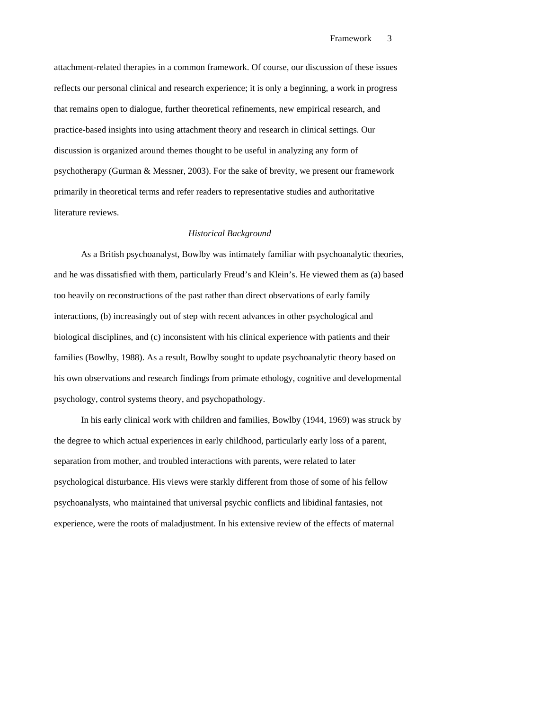attachment-related therapies in a common framework. Of course, our discussion of these issues reflects our personal clinical and research experience; it is only a beginning, a work in progress that remains open to dialogue, further theoretical refinements, new empirical research, and practice-based insights into using attachment theory and research in clinical settings. Our discussion is organized around themes thought to be useful in analyzing any form of psychotherapy (Gurman & Messner, 2003). For the sake of brevity, we present our framework primarily in theoretical terms and refer readers to representative studies and authoritative literature reviews.

## *Historical Background*

As a British psychoanalyst, Bowlby was intimately familiar with psychoanalytic theories, and he was dissatisfied with them, particularly Freud's and Klein's. He viewed them as (a) based too heavily on reconstructions of the past rather than direct observations of early family interactions, (b) increasingly out of step with recent advances in other psychological and biological disciplines, and (c) inconsistent with his clinical experience with patients and their families (Bowlby, 1988). As a result, Bowlby sought to update psychoanalytic theory based on his own observations and research findings from primate ethology, cognitive and developmental psychology, control systems theory, and psychopathology.

In his early clinical work with children and families, Bowlby (1944, 1969) was struck by the degree to which actual experiences in early childhood, particularly early loss of a parent, separation from mother, and troubled interactions with parents, were related to later psychological disturbance. His views were starkly different from those of some of his fellow psychoanalysts, who maintained that universal psychic conflicts and libidinal fantasies, not experience, were the roots of maladjustment. In his extensive review of the effects of maternal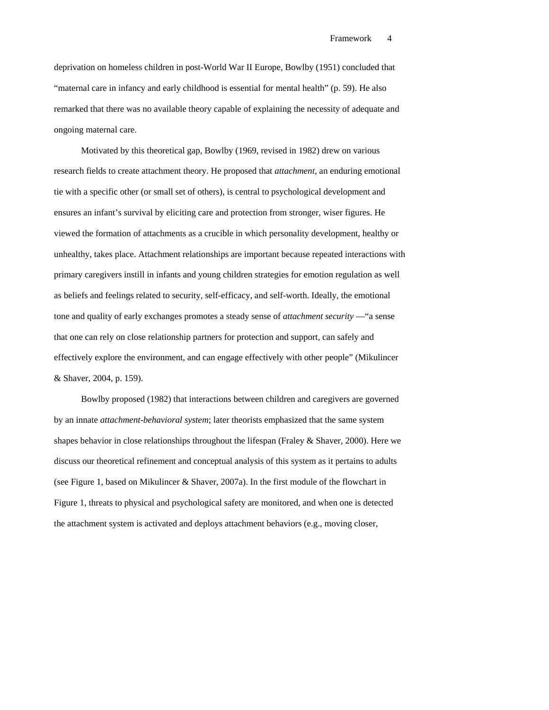deprivation on homeless children in post-World War II Europe, Bowlby (1951) concluded that "maternal care in infancy and early childhood is essential for mental health" (p. 59). He also remarked that there was no available theory capable of explaining the necessity of adequate and ongoing maternal care.

Motivated by this theoretical gap, Bowlby (1969, revised in 1982) drew on various research fields to create attachment theory. He proposed that *attachment*, an enduring emotional tie with a specific other (or small set of others), is central to psychological development and ensures an infant's survival by eliciting care and protection from stronger, wiser figures. He viewed the formation of attachments as a crucible in which personality development, healthy or unhealthy, takes place. Attachment relationships are important because repeated interactions with primary caregivers instill in infants and young children strategies for emotion regulation as well as beliefs and feelings related to security, self-efficacy, and self-worth. Ideally, the emotional tone and quality of early exchanges promotes a steady sense of *attachment security* —"a sense that one can rely on close relationship partners for protection and support, can safely and effectively explore the environment, and can engage effectively with other people" (Mikulincer & Shaver, 2004, p. 159).

Bowlby proposed (1982) that interactions between children and caregivers are governed by an innate *attachment-behavioral system*; later theorists emphasized that the same system shapes behavior in close relationships throughout the lifespan (Fraley & Shaver, 2000). Here we discuss our theoretical refinement and conceptual analysis of this system as it pertains to adults (see Figure 1, based on Mikulincer & Shaver, 2007a). In the first module of the flowchart in Figure 1, threats to physical and psychological safety are monitored, and when one is detected the attachment system is activated and deploys attachment behaviors (e.g., moving closer,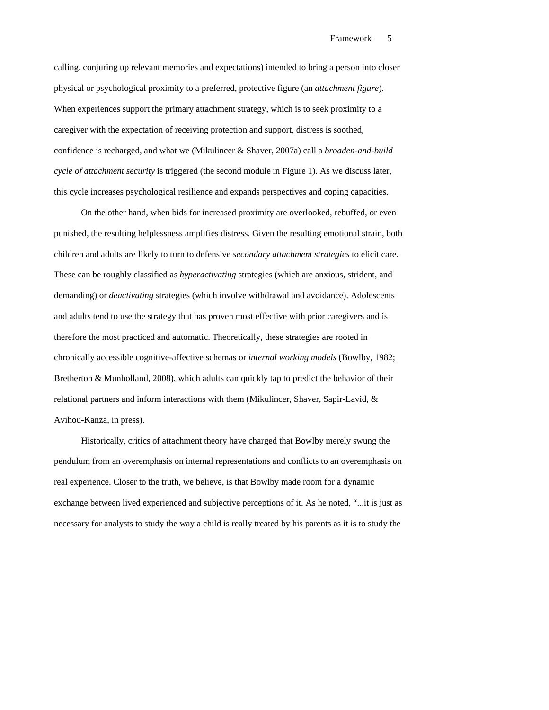calling, conjuring up relevant memories and expectations) intended to bring a person into closer physical or psychological proximity to a preferred, protective figure (an *attachment figure*). When experiences support the primary attachment strategy, which is to seek proximity to a caregiver with the expectation of receiving protection and support, distress is soothed, confidence is recharged, and what we (Mikulincer & Shaver, 2007a) call a *broaden-and-build cycle of attachment security* is triggered (the second module in Figure 1). As we discuss later, this cycle increases psychological resilience and expands perspectives and coping capacities.

On the other hand, when bids for increased proximity are overlooked, rebuffed, or even punished, the resulting helplessness amplifies distress. Given the resulting emotional strain, both children and adults are likely to turn to defensive *secondary attachment strategies* to elicit care. These can be roughly classified as *hyperactivating* strategies (which are anxious, strident, and demanding) or *deactivating* strategies (which involve withdrawal and avoidance). Adolescents and adults tend to use the strategy that has proven most effective with prior caregivers and is therefore the most practiced and automatic. Theoretically, these strategies are rooted in chronically accessible cognitive-affective schemas or *internal working models* (Bowlby, 1982; Bretherton & Munholland, 2008), which adults can quickly tap to predict the behavior of their relational partners and inform interactions with them (Mikulincer, Shaver, Sapir-Lavid, & Avihou-Kanza, in press).

Historically, critics of attachment theory have charged that Bowlby merely swung the pendulum from an overemphasis on internal representations and conflicts to an overemphasis on real experience. Closer to the truth, we believe, is that Bowlby made room for a dynamic exchange between lived experienced and subjective perceptions of it. As he noted, "...it is just as necessary for analysts to study the way a child is really treated by his parents as it is to study the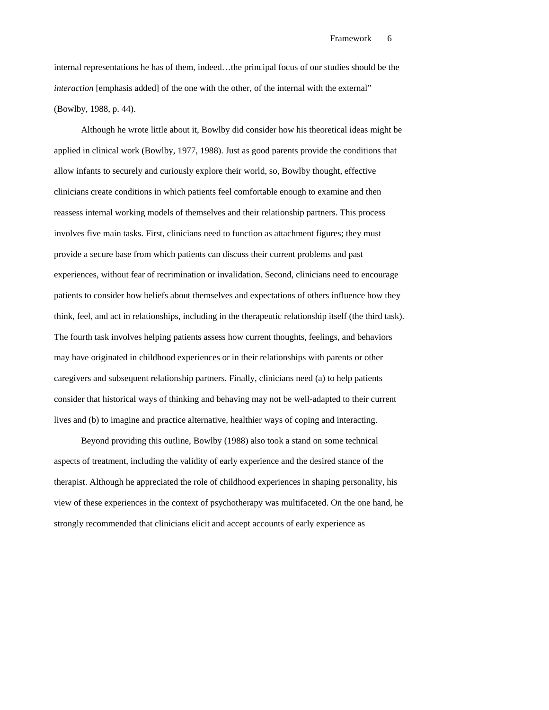internal representations he has of them, indeed…the principal focus of our studies should be the *interaction* [emphasis added] of the one with the other, of the internal with the external" (Bowlby, 1988, p. 44).

Although he wrote little about it, Bowlby did consider how his theoretical ideas might be applied in clinical work (Bowlby, 1977, 1988). Just as good parents provide the conditions that allow infants to securely and curiously explore their world, so, Bowlby thought, effective clinicians create conditions in which patients feel comfortable enough to examine and then reassess internal working models of themselves and their relationship partners. This process involves five main tasks. First, clinicians need to function as attachment figures; they must provide a secure base from which patients can discuss their current problems and past experiences, without fear of recrimination or invalidation. Second, clinicians need to encourage patients to consider how beliefs about themselves and expectations of others influence how they think, feel, and act in relationships, including in the therapeutic relationship itself (the third task). The fourth task involves helping patients assess how current thoughts, feelings, and behaviors may have originated in childhood experiences or in their relationships with parents or other caregivers and subsequent relationship partners. Finally, clinicians need (a) to help patients consider that historical ways of thinking and behaving may not be well-adapted to their current lives and (b) to imagine and practice alternative, healthier ways of coping and interacting.

Beyond providing this outline, Bowlby (1988) also took a stand on some technical aspects of treatment, including the validity of early experience and the desired stance of the therapist. Although he appreciated the role of childhood experiences in shaping personality, his view of these experiences in the context of psychotherapy was multifaceted. On the one hand, he strongly recommended that clinicians elicit and accept accounts of early experience as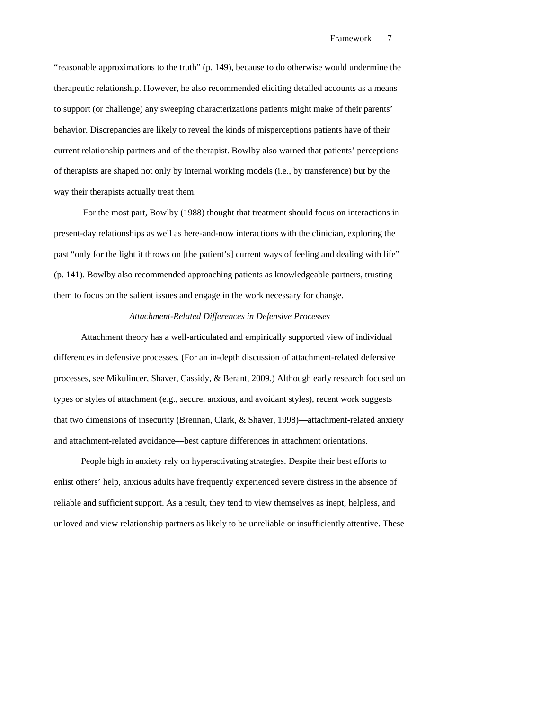"reasonable approximations to the truth" (p. 149), because to do otherwise would undermine the therapeutic relationship. However, he also recommended eliciting detailed accounts as a means to support (or challenge) any sweeping characterizations patients might make of their parents' behavior. Discrepancies are likely to reveal the kinds of misperceptions patients have of their current relationship partners and of the therapist. Bowlby also warned that patients' perceptions of therapists are shaped not only by internal working models (i.e., by transference) but by the way their therapists actually treat them.

 For the most part, Bowlby (1988) thought that treatment should focus on interactions in present-day relationships as well as here-and-now interactions with the clinician, exploring the past "only for the light it throws on [the patient's] current ways of feeling and dealing with life" (p. 141). Bowlby also recommended approaching patients as knowledgeable partners, trusting them to focus on the salient issues and engage in the work necessary for change.

# *Attachment-Related Differences in Defensive Processes*

Attachment theory has a well-articulated and empirically supported view of individual differences in defensive processes. (For an in-depth discussion of attachment-related defensive processes, see Mikulincer, Shaver, Cassidy, & Berant, 2009.) Although early research focused on types or styles of attachment (e.g., secure, anxious, and avoidant styles), recent work suggests that two dimensions of insecurity (Brennan, Clark, & Shaver, 1998)—attachment-related anxiety and attachment-related avoidance––best capture differences in attachment orientations.

People high in anxiety rely on hyperactivating strategies. Despite their best efforts to enlist others' help, anxious adults have frequently experienced severe distress in the absence of reliable and sufficient support. As a result, they tend to view themselves as inept, helpless, and unloved and view relationship partners as likely to be unreliable or insufficiently attentive. These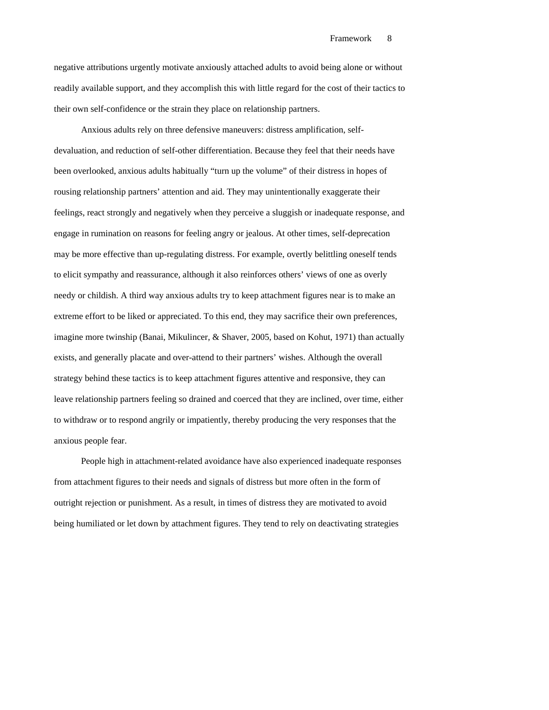negative attributions urgently motivate anxiously attached adults to avoid being alone or without readily available support, and they accomplish this with little regard for the cost of their tactics to their own self-confidence or the strain they place on relationship partners.

Anxious adults rely on three defensive maneuvers: distress amplification, selfdevaluation, and reduction of self-other differentiation. Because they feel that their needs have been overlooked, anxious adults habitually "turn up the volume" of their distress in hopes of rousing relationship partners' attention and aid. They may unintentionally exaggerate their feelings, react strongly and negatively when they perceive a sluggish or inadequate response, and engage in rumination on reasons for feeling angry or jealous. At other times, self-deprecation may be more effective than up-regulating distress. For example, overtly belittling oneself tends to elicit sympathy and reassurance, although it also reinforces others' views of one as overly needy or childish. A third way anxious adults try to keep attachment figures near is to make an extreme effort to be liked or appreciated. To this end, they may sacrifice their own preferences, imagine more twinship (Banai, Mikulincer, & Shaver, 2005, based on Kohut, 1971) than actually exists, and generally placate and over-attend to their partners' wishes. Although the overall strategy behind these tactics is to keep attachment figures attentive and responsive, they can leave relationship partners feeling so drained and coerced that they are inclined, over time, either to withdraw or to respond angrily or impatiently, thereby producing the very responses that the anxious people fear.

People high in attachment-related avoidance have also experienced inadequate responses from attachment figures to their needs and signals of distress but more often in the form of outright rejection or punishment. As a result, in times of distress they are motivated to avoid being humiliated or let down by attachment figures. They tend to rely on deactivating strategies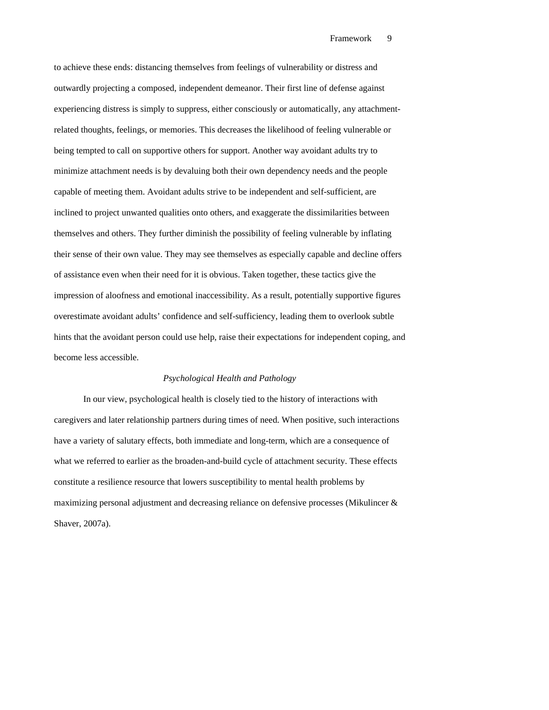to achieve these ends: distancing themselves from feelings of vulnerability or distress and outwardly projecting a composed, independent demeanor. Their first line of defense against experiencing distress is simply to suppress, either consciously or automatically, any attachmentrelated thoughts, feelings, or memories. This decreases the likelihood of feeling vulnerable or being tempted to call on supportive others for support. Another way avoidant adults try to minimize attachment needs is by devaluing both their own dependency needs and the people capable of meeting them. Avoidant adults strive to be independent and self-sufficient, are inclined to project unwanted qualities onto others, and exaggerate the dissimilarities between themselves and others. They further diminish the possibility of feeling vulnerable by inflating their sense of their own value. They may see themselves as especially capable and decline offers of assistance even when their need for it is obvious. Taken together, these tactics give the impression of aloofness and emotional inaccessibility. As a result, potentially supportive figures overestimate avoidant adults' confidence and self-sufficiency, leading them to overlook subtle hints that the avoidant person could use help, raise their expectations for independent coping, and become less accessible.

### *Psychological Health and Pathology*

 In our view, psychological health is closely tied to the history of interactions with caregivers and later relationship partners during times of need. When positive, such interactions have a variety of salutary effects, both immediate and long-term, which are a consequence of what we referred to earlier as the broaden-and-build cycle of attachment security. These effects constitute a resilience resource that lowers susceptibility to mental health problems by maximizing personal adjustment and decreasing reliance on defensive processes (Mikulincer & Shaver, 2007a).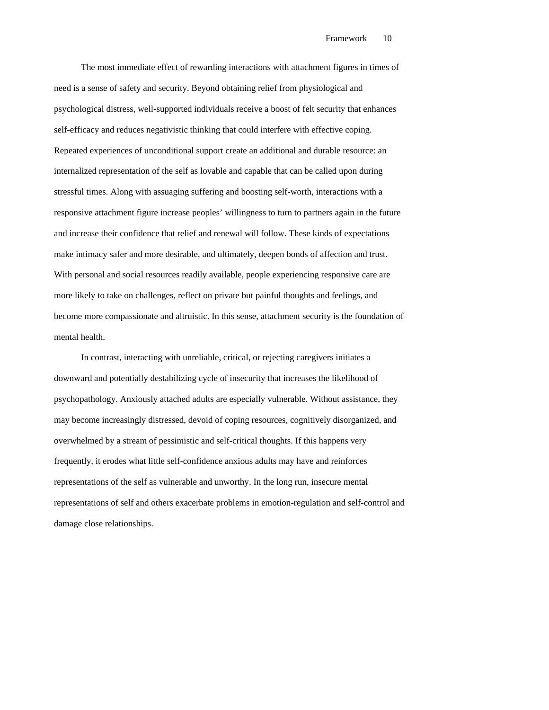The most immediate effect of rewarding interactions with attachment figures in times of need is a sense of safety and security. Beyond obtaining relief from physiological and psychological distress, well-supported individuals receive a boost of felt security that enhances self-efficacy and reduces negativistic thinking that could interfere with effective coping. Repeated experiences of unconditional support create an additional and durable resource: an internalized representation of the self as lovable and capable that can be called upon during stressful times. Along with assuaging suffering and boosting self-worth, interactions with a responsive attachment figure increase peoples' willingness to turn to partners again in the future and increase their confidence that relief and renewal will follow. These kinds of expectations make intimacy safer and more desirable, and ultimately, deepen bonds of affection and trust. With personal and social resources readily available, people experiencing responsive care are more likely to take on challenges, reflect on private but painful thoughts and feelings, and become more compassionate and altruistic. In this sense, attachment security is the foundation of mental health.

In contrast, interacting with unreliable, critical, or rejecting caregivers initiates a downward and potentially destabilizing cycle of insecurity that increases the likelihood of psychopathology. Anxiously attached adults are especially vulnerable. Without assistance, they may become increasingly distressed, devoid of coping resources, cognitively disorganized, and overwhelmed by a stream of pessimistic and self-critical thoughts. If this happens very frequently, it erodes what little self-confidence anxious adults may have and reinforces representations of the self as vulnerable and unworthy. In the long run, insecure mental representations of self and others exacerbate problems in emotion-regulation and self-control and damage close relationships.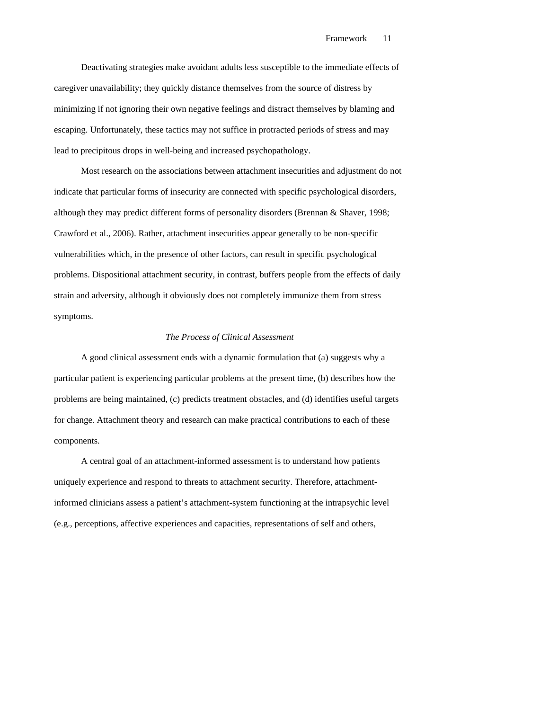Deactivating strategies make avoidant adults less susceptible to the immediate effects of caregiver unavailability; they quickly distance themselves from the source of distress by minimizing if not ignoring their own negative feelings and distract themselves by blaming and escaping. Unfortunately, these tactics may not suffice in protracted periods of stress and may lead to precipitous drops in well-being and increased psychopathology.

Most research on the associations between attachment insecurities and adjustment do not indicate that particular forms of insecurity are connected with specific psychological disorders, although they may predict different forms of personality disorders (Brennan & Shaver, 1998; Crawford et al., 2006). Rather, attachment insecurities appear generally to be non-specific vulnerabilities which, in the presence of other factors, can result in specific psychological problems. Dispositional attachment security, in contrast, buffers people from the effects of daily strain and adversity, although it obviously does not completely immunize them from stress symptoms.

### *The Process of Clinical Assessment*

A good clinical assessment ends with a dynamic formulation that (a) suggests why a particular patient is experiencing particular problems at the present time, (b) describes how the problems are being maintained, (c) predicts treatment obstacles, and (d) identifies useful targets for change. Attachment theory and research can make practical contributions to each of these components.

A central goal of an attachment-informed assessment is to understand how patients uniquely experience and respond to threats to attachment security. Therefore, attachmentinformed clinicians assess a patient's attachment-system functioning at the intrapsychic level (e.g., perceptions, affective experiences and capacities, representations of self and others,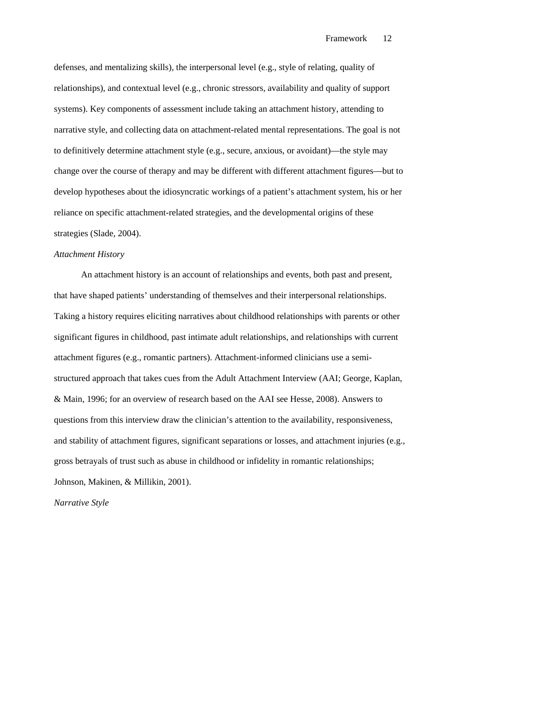defenses, and mentalizing skills), the interpersonal level (e.g., style of relating, quality of relationships), and contextual level (e.g., chronic stressors, availability and quality of support systems). Key components of assessment include taking an attachment history, attending to narrative style, and collecting data on attachment-related mental representations. The goal is not to definitively determine attachment style (e.g., secure, anxious, or avoidant)—the style may change over the course of therapy and may be different with different attachment figures—but to develop hypotheses about the idiosyncratic workings of a patient's attachment system, his or her reliance on specific attachment-related strategies, and the developmental origins of these strategies (Slade, 2004).

## *Attachment History*

An attachment history is an account of relationships and events, both past and present, that have shaped patients' understanding of themselves and their interpersonal relationships. Taking a history requires eliciting narratives about childhood relationships with parents or other significant figures in childhood, past intimate adult relationships, and relationships with current attachment figures (e.g., romantic partners). Attachment-informed clinicians use a semistructured approach that takes cues from the Adult Attachment Interview (AAI; George, Kaplan, & Main, 1996; for an overview of research based on the AAI see Hesse, 2008). Answers to questions from this interview draw the clinician's attention to the availability, responsiveness, and stability of attachment figures, significant separations or losses, and attachment injuries (e.g., gross betrayals of trust such as abuse in childhood or infidelity in romantic relationships; Johnson, Makinen, & Millikin, 2001).

*Narrative Style*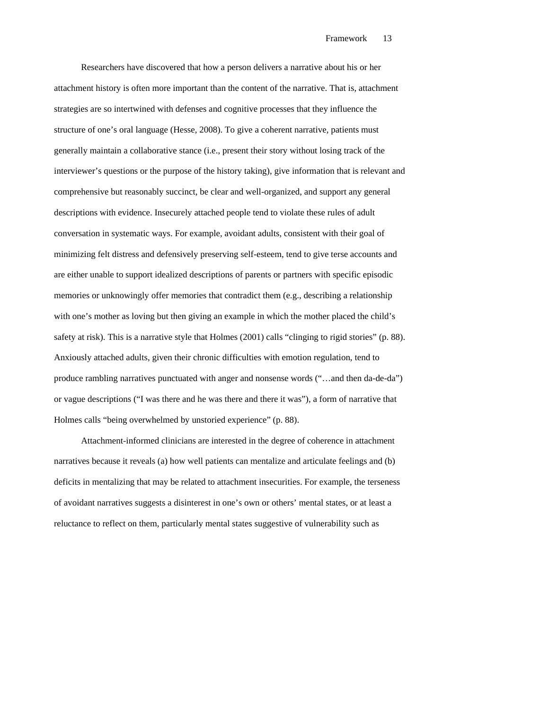Researchers have discovered that how a person delivers a narrative about his or her attachment history is often more important than the content of the narrative. That is, attachment strategies are so intertwined with defenses and cognitive processes that they influence the structure of one's oral language (Hesse, 2008). To give a coherent narrative, patients must generally maintain a collaborative stance (i.e., present their story without losing track of the interviewer's questions or the purpose of the history taking), give information that is relevant and comprehensive but reasonably succinct, be clear and well-organized, and support any general descriptions with evidence. Insecurely attached people tend to violate these rules of adult conversation in systematic ways. For example, avoidant adults, consistent with their goal of minimizing felt distress and defensively preserving self-esteem, tend to give terse accounts and are either unable to support idealized descriptions of parents or partners with specific episodic memories or unknowingly offer memories that contradict them (e.g., describing a relationship with one's mother as loving but then giving an example in which the mother placed the child's safety at risk). This is a narrative style that Holmes (2001) calls "clinging to rigid stories" (p. 88). Anxiously attached adults, given their chronic difficulties with emotion regulation, tend to produce rambling narratives punctuated with anger and nonsense words ("…and then da-de-da") or vague descriptions ("I was there and he was there and there it was"), a form of narrative that Holmes calls "being overwhelmed by unstoried experience" (p. 88).

Attachment-informed clinicians are interested in the degree of coherence in attachment narratives because it reveals (a) how well patients can mentalize and articulate feelings and (b) deficits in mentalizing that may be related to attachment insecurities. For example, the terseness of avoidant narratives suggests a disinterest in one's own or others' mental states, or at least a reluctance to reflect on them, particularly mental states suggestive of vulnerability such as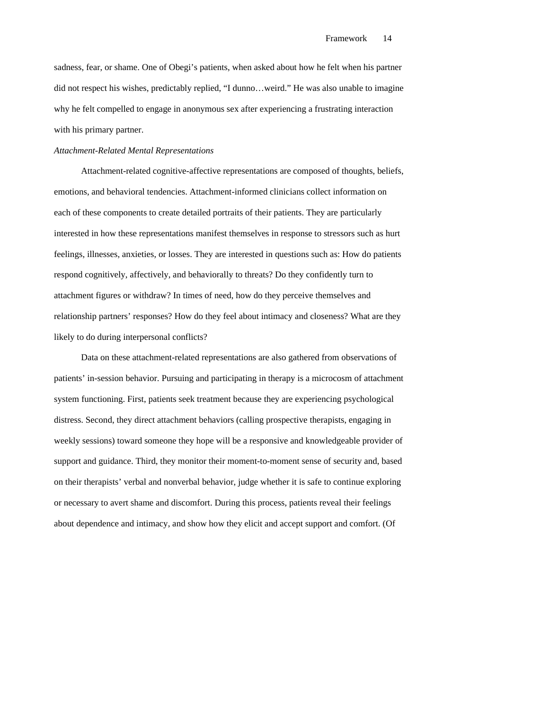sadness, fear, or shame. One of Obegi's patients, when asked about how he felt when his partner did not respect his wishes, predictably replied, "I dunno…weird." He was also unable to imagine why he felt compelled to engage in anonymous sex after experiencing a frustrating interaction with his primary partner.

## *Attachment-Related Mental Representations*

Attachment-related cognitive-affective representations are composed of thoughts, beliefs, emotions, and behavioral tendencies. Attachment-informed clinicians collect information on each of these components to create detailed portraits of their patients. They are particularly interested in how these representations manifest themselves in response to stressors such as hurt feelings, illnesses, anxieties, or losses. They are interested in questions such as: How do patients respond cognitively, affectively, and behaviorally to threats? Do they confidently turn to attachment figures or withdraw? In times of need, how do they perceive themselves and relationship partners' responses? How do they feel about intimacy and closeness? What are they likely to do during interpersonal conflicts?

Data on these attachment-related representations are also gathered from observations of patients' in-session behavior. Pursuing and participating in therapy is a microcosm of attachment system functioning. First, patients seek treatment because they are experiencing psychological distress. Second, they direct attachment behaviors (calling prospective therapists, engaging in weekly sessions) toward someone they hope will be a responsive and knowledgeable provider of support and guidance. Third, they monitor their moment-to-moment sense of security and, based on their therapists' verbal and nonverbal behavior, judge whether it is safe to continue exploring or necessary to avert shame and discomfort. During this process, patients reveal their feelings about dependence and intimacy, and show how they elicit and accept support and comfort. (Of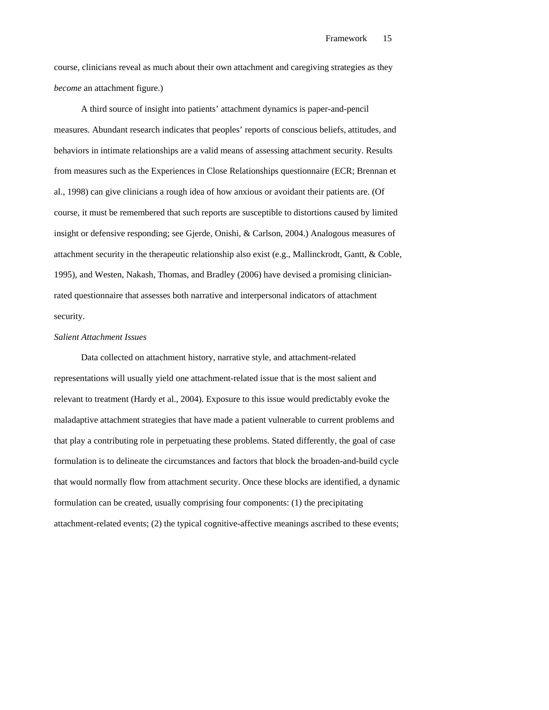course, clinicians reveal as much about their own attachment and caregiving strategies as they *become* an attachment figure.)

A third source of insight into patients' attachment dynamics is paper-and-pencil measures. Abundant research indicates that peoples' reports of conscious beliefs, attitudes, and behaviors in intimate relationships are a valid means of assessing attachment security. Results from measures such as the Experiences in Close Relationships questionnaire (ECR; Brennan et al., 1998) can give clinicians a rough idea of how anxious or avoidant their patients are. (Of course, it must be remembered that such reports are susceptible to distortions caused by limited insight or defensive responding; see Gjerde, Onishi, & Carlson, 2004.) Analogous measures of attachment security in the therapeutic relationship also exist (e.g., Mallinckrodt, Gantt, & Coble, 1995), and Westen, Nakash, Thomas, and Bradley (2006) have devised a promising clinicianrated questionnaire that assesses both narrative and interpersonal indicators of attachment security.

### *Salient Attachment Issues*

Data collected on attachment history, narrative style, and attachment-related representations will usually yield one attachment-related issue that is the most salient and relevant to treatment (Hardy et al., 2004). Exposure to this issue would predictably evoke the maladaptive attachment strategies that have made a patient vulnerable to current problems and that play a contributing role in perpetuating these problems. Stated differently, the goal of case formulation is to delineate the circumstances and factors that block the broaden-and-build cycle that would normally flow from attachment security. Once these blocks are identified, a dynamic formulation can be created, usually comprising four components: (1) the precipitating attachment-related events; (2) the typical cognitive-affective meanings ascribed to these events;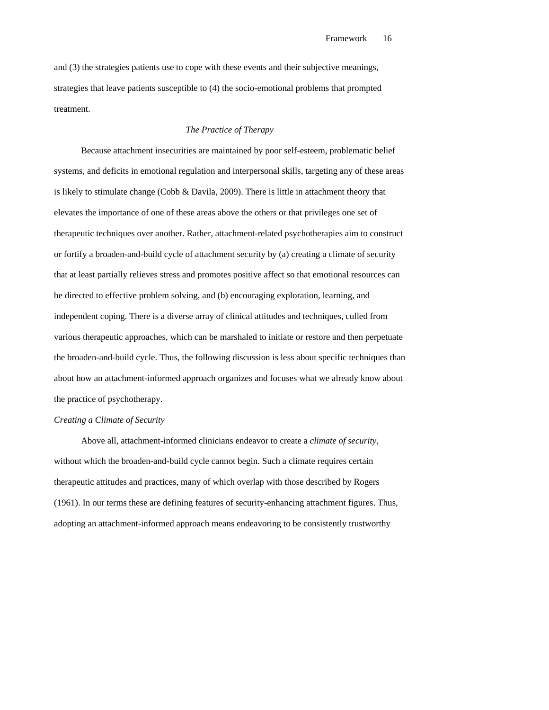and (3) the strategies patients use to cope with these events and their subjective meanings, strategies that leave patients susceptible to (4) the socio-emotional problems that prompted treatment.

## *The Practice of Therapy*

Because attachment insecurities are maintained by poor self-esteem, problematic belief systems, and deficits in emotional regulation and interpersonal skills, targeting any of these areas is likely to stimulate change (Cobb & Davila, 2009). There is little in attachment theory that elevates the importance of one of these areas above the others or that privileges one set of therapeutic techniques over another. Rather, attachment-related psychotherapies aim to construct or fortify a broaden-and-build cycle of attachment security by (a) creating a climate of security that at least partially relieves stress and promotes positive affect so that emotional resources can be directed to effective problem solving, and (b) encouraging exploration, learning, and independent coping. There is a diverse array of clinical attitudes and techniques, culled from various therapeutic approaches, which can be marshaled to initiate or restore and then perpetuate the broaden-and-build cycle. Thus, the following discussion is less about specific techniques than about how an attachment-informed approach organizes and focuses what we already know about the practice of psychotherapy.

## *Creating a Climate of Security*

Above all, attachment-informed clinicians endeavor to create a *climate of security*, without which the broaden-and-build cycle cannot begin. Such a climate requires certain therapeutic attitudes and practices, many of which overlap with those described by Rogers (1961). In our terms these are defining features of security-enhancing attachment figures. Thus, adopting an attachment-informed approach means endeavoring to be consistently trustworthy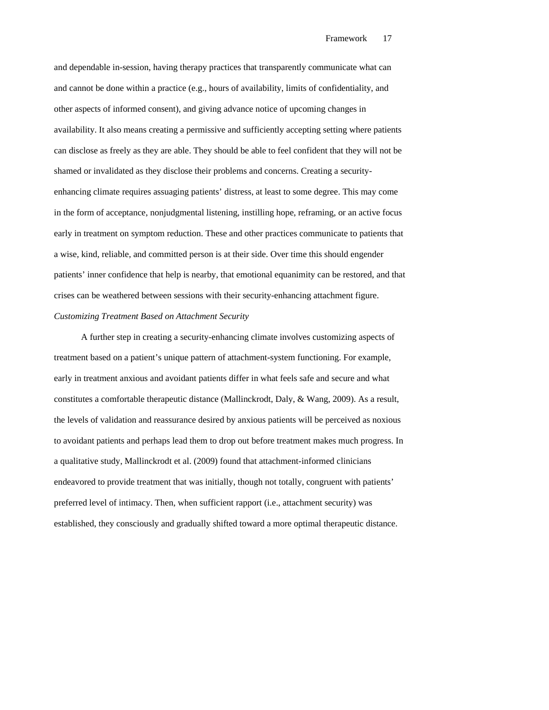and dependable in-session, having therapy practices that transparently communicate what can and cannot be done within a practice (e.g., hours of availability, limits of confidentiality, and other aspects of informed consent), and giving advance notice of upcoming changes in availability. It also means creating a permissive and sufficiently accepting setting where patients can disclose as freely as they are able. They should be able to feel confident that they will not be shamed or invalidated as they disclose their problems and concerns. Creating a securityenhancing climate requires assuaging patients' distress, at least to some degree. This may come in the form of acceptance, nonjudgmental listening, instilling hope, reframing, or an active focus early in treatment on symptom reduction. These and other practices communicate to patients that a wise, kind, reliable, and committed person is at their side. Over time this should engender patients' inner confidence that help is nearby, that emotional equanimity can be restored, and that crises can be weathered between sessions with their security-enhancing attachment figure. *Customizing Treatment Based on Attachment Security* 

A further step in creating a security-enhancing climate involves customizing aspects of treatment based on a patient's unique pattern of attachment-system functioning. For example, early in treatment anxious and avoidant patients differ in what feels safe and secure and what constitutes a comfortable therapeutic distance (Mallinckrodt, Daly, & Wang, 2009). As a result, the levels of validation and reassurance desired by anxious patients will be perceived as noxious to avoidant patients and perhaps lead them to drop out before treatment makes much progress. In a qualitative study, Mallinckrodt et al. (2009) found that attachment-informed clinicians endeavored to provide treatment that was initially, though not totally, congruent with patients' preferred level of intimacy. Then, when sufficient rapport (i.e., attachment security) was established, they consciously and gradually shifted toward a more optimal therapeutic distance.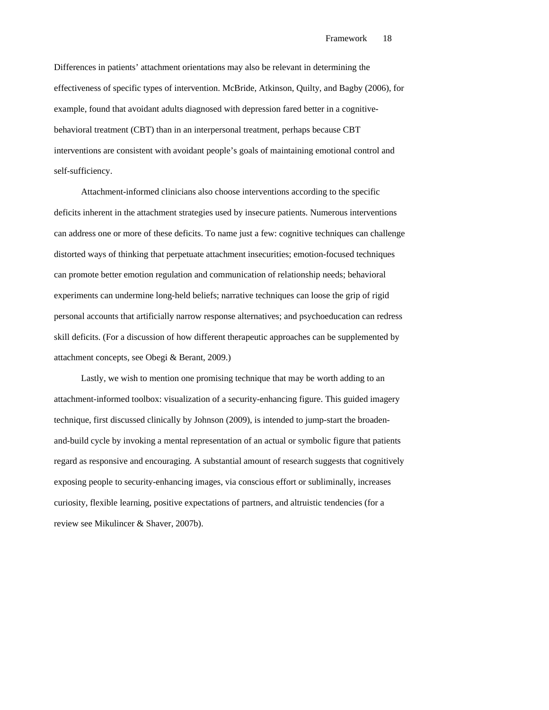Differences in patients' attachment orientations may also be relevant in determining the effectiveness of specific types of intervention. McBride, Atkinson, Quilty, and Bagby (2006), for example, found that avoidant adults diagnosed with depression fared better in a cognitivebehavioral treatment (CBT) than in an interpersonal treatment, perhaps because CBT interventions are consistent with avoidant people's goals of maintaining emotional control and self-sufficiency.

Attachment-informed clinicians also choose interventions according to the specific deficits inherent in the attachment strategies used by insecure patients. Numerous interventions can address one or more of these deficits. To name just a few: cognitive techniques can challenge distorted ways of thinking that perpetuate attachment insecurities; emotion-focused techniques can promote better emotion regulation and communication of relationship needs; behavioral experiments can undermine long-held beliefs; narrative techniques can loose the grip of rigid personal accounts that artificially narrow response alternatives; and psychoeducation can redress skill deficits. (For a discussion of how different therapeutic approaches can be supplemented by attachment concepts, see Obegi & Berant, 2009.)

Lastly, we wish to mention one promising technique that may be worth adding to an attachment-informed toolbox: visualization of a security-enhancing figure. This guided imagery technique, first discussed clinically by Johnson (2009), is intended to jump-start the broadenand-build cycle by invoking a mental representation of an actual or symbolic figure that patients regard as responsive and encouraging. A substantial amount of research suggests that cognitively exposing people to security-enhancing images, via conscious effort or subliminally, increases curiosity, flexible learning, positive expectations of partners, and altruistic tendencies (for a review see Mikulincer & Shaver, 2007b).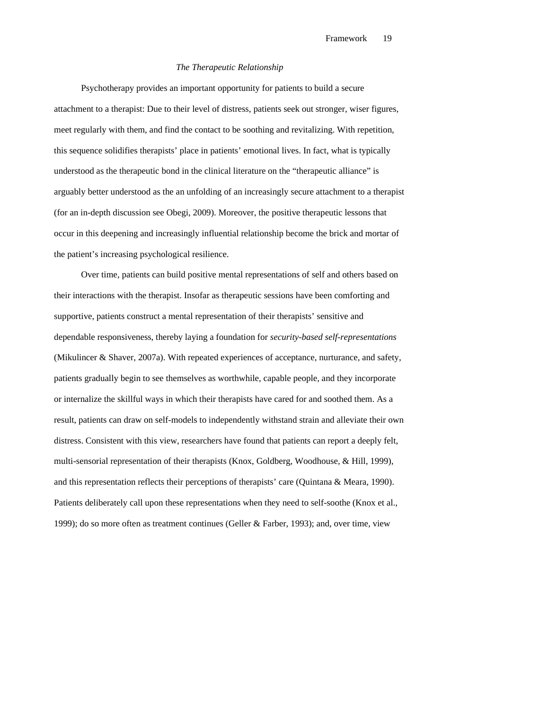### *The Therapeutic Relationship*

Psychotherapy provides an important opportunity for patients to build a secure attachment to a therapist: Due to their level of distress, patients seek out stronger, wiser figures, meet regularly with them, and find the contact to be soothing and revitalizing. With repetition, this sequence solidifies therapists' place in patients' emotional lives. In fact, what is typically understood as the therapeutic bond in the clinical literature on the "therapeutic alliance" is arguably better understood as the an unfolding of an increasingly secure attachment to a therapist (for an in-depth discussion see Obegi, 2009). Moreover, the positive therapeutic lessons that occur in this deepening and increasingly influential relationship become the brick and mortar of the patient's increasing psychological resilience.

Over time, patients can build positive mental representations of self and others based on their interactions with the therapist. Insofar as therapeutic sessions have been comforting and supportive, patients construct a mental representation of their therapists' sensitive and dependable responsiveness, thereby laying a foundation for *security-based self-representations* (Mikulincer & Shaver, 2007a). With repeated experiences of acceptance, nurturance, and safety, patients gradually begin to see themselves as worthwhile, capable people, and they incorporate or internalize the skillful ways in which their therapists have cared for and soothed them. As a result, patients can draw on self-models to independently withstand strain and alleviate their own distress. Consistent with this view, researchers have found that patients can report a deeply felt, multi-sensorial representation of their therapists (Knox, Goldberg, Woodhouse, & Hill, 1999), and this representation reflects their perceptions of therapists' care (Quintana & Meara, 1990). Patients deliberately call upon these representations when they need to self-soothe (Knox et al., 1999); do so more often as treatment continues (Geller & Farber, 1993); and, over time, view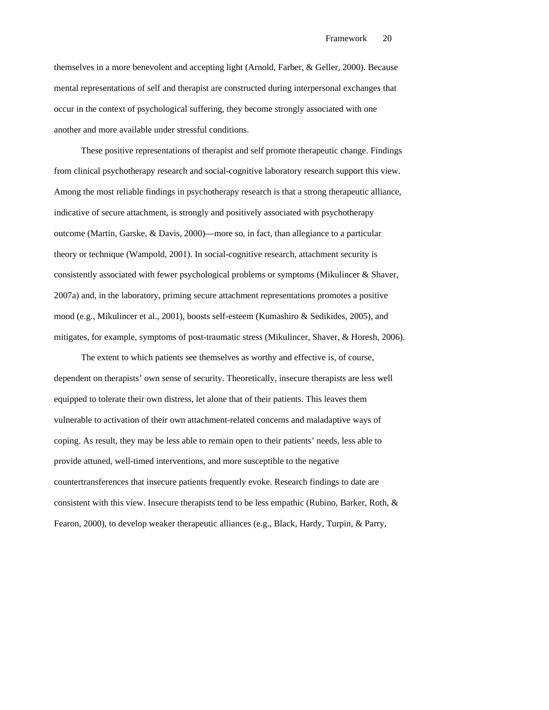themselves in a more benevolent and accepting light (Arnold, Farber, & Geller, 2000). Because mental representations of self and therapist are constructed during interpersonal exchanges that occur in the context of psychological suffering, they become strongly associated with one another and more available under stressful conditions.

These positive representations of therapist and self promote therapeutic change. Findings from clinical psychotherapy research and social-cognitive laboratory research support this view. Among the most reliable findings in psychotherapy research is that a strong therapeutic alliance, indicative of secure attachment, is strongly and positively associated with psychotherapy outcome (Martin, Garske, & Davis, 2000)—more so, in fact, than allegiance to a particular theory or technique (Wampold, 2001). In social-cognitive research, attachment security is consistently associated with fewer psychological problems or symptoms (Mikulincer & Shaver, 2007a) and, in the laboratory, priming secure attachment representations promotes a positive mood (e.g., Mikulincer et al., 2001), boosts self-esteem (Kumashiro & Sedikides, 2005), and mitigates, for example, symptoms of post-traumatic stress (Mikulincer, Shaver, & Horesh, 2006).

The extent to which patients see themselves as worthy and effective is, of course, dependent on therapists' own sense of security. Theoretically, insecure therapists are less well equipped to tolerate their own distress, let alone that of their patients. This leaves them vulnerable to activation of their own attachment-related concerns and maladaptive ways of coping. As result, they may be less able to remain open to their patients' needs, less able to provide attuned, well-timed interventions, and more susceptible to the negative countertransferences that insecure patients frequently evoke. Research findings to date are consistent with this view. Insecure therapists tend to be less empathic (Rubino, Barker, Roth, & Fearon, 2000), to develop weaker therapeutic alliances (e.g., Black, Hardy, Turpin, & Parry,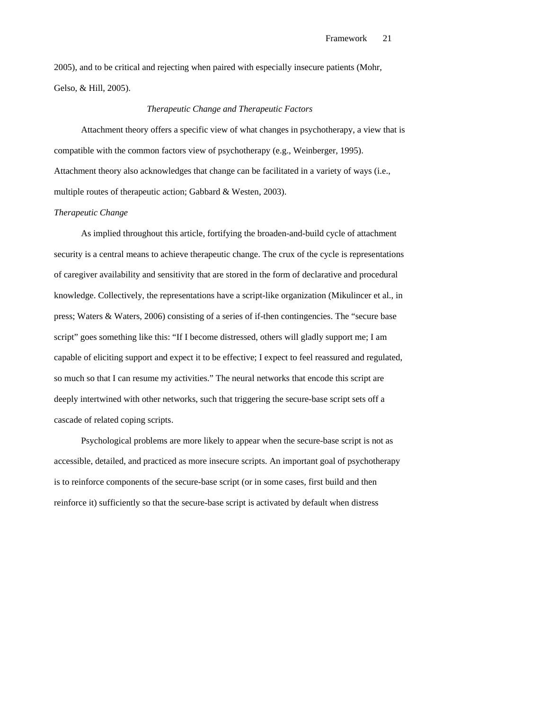2005), and to be critical and rejecting when paired with especially insecure patients (Mohr, Gelso, & Hill, 2005).

## *Therapeutic Change and Therapeutic Factors*

Attachment theory offers a specific view of what changes in psychotherapy, a view that is compatible with the common factors view of psychotherapy (e.g., Weinberger, 1995). Attachment theory also acknowledges that change can be facilitated in a variety of ways (i.e., multiple routes of therapeutic action; Gabbard & Westen, 2003).

### *Therapeutic Change*

As implied throughout this article, fortifying the broaden-and-build cycle of attachment security is a central means to achieve therapeutic change. The crux of the cycle is representations of caregiver availability and sensitivity that are stored in the form of declarative and procedural knowledge. Collectively, the representations have a script-like organization (Mikulincer et al., in press; Waters & Waters, 2006) consisting of a series of if-then contingencies. The "secure base script" goes something like this: "If I become distressed, others will gladly support me; I am capable of eliciting support and expect it to be effective; I expect to feel reassured and regulated, so much so that I can resume my activities." The neural networks that encode this script are deeply intertwined with other networks, such that triggering the secure-base script sets off a cascade of related coping scripts.

Psychological problems are more likely to appear when the secure-base script is not as accessible, detailed, and practiced as more insecure scripts. An important goal of psychotherapy is to reinforce components of the secure-base script (or in some cases, first build and then reinforce it) sufficiently so that the secure-base script is activated by default when distress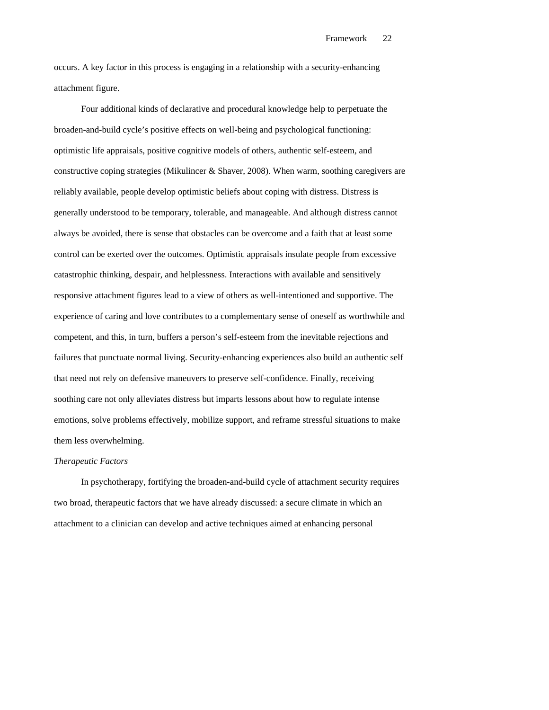occurs. A key factor in this process is engaging in a relationship with a security-enhancing attachment figure.

Four additional kinds of declarative and procedural knowledge help to perpetuate the broaden-and-build cycle's positive effects on well-being and psychological functioning: optimistic life appraisals, positive cognitive models of others, authentic self-esteem, and constructive coping strategies (Mikulincer & Shaver, 2008). When warm, soothing caregivers are reliably available, people develop optimistic beliefs about coping with distress. Distress is generally understood to be temporary, tolerable, and manageable. And although distress cannot always be avoided, there is sense that obstacles can be overcome and a faith that at least some control can be exerted over the outcomes. Optimistic appraisals insulate people from excessive catastrophic thinking, despair, and helplessness. Interactions with available and sensitively responsive attachment figures lead to a view of others as well-intentioned and supportive. The experience of caring and love contributes to a complementary sense of oneself as worthwhile and competent, and this, in turn, buffers a person's self-esteem from the inevitable rejections and failures that punctuate normal living. Security-enhancing experiences also build an authentic self that need not rely on defensive maneuvers to preserve self-confidence. Finally, receiving soothing care not only alleviates distress but imparts lessons about how to regulate intense emotions, solve problems effectively, mobilize support, and reframe stressful situations to make them less overwhelming.

#### *Therapeutic Factors*

In psychotherapy, fortifying the broaden-and-build cycle of attachment security requires two broad, therapeutic factors that we have already discussed: a secure climate in which an attachment to a clinician can develop and active techniques aimed at enhancing personal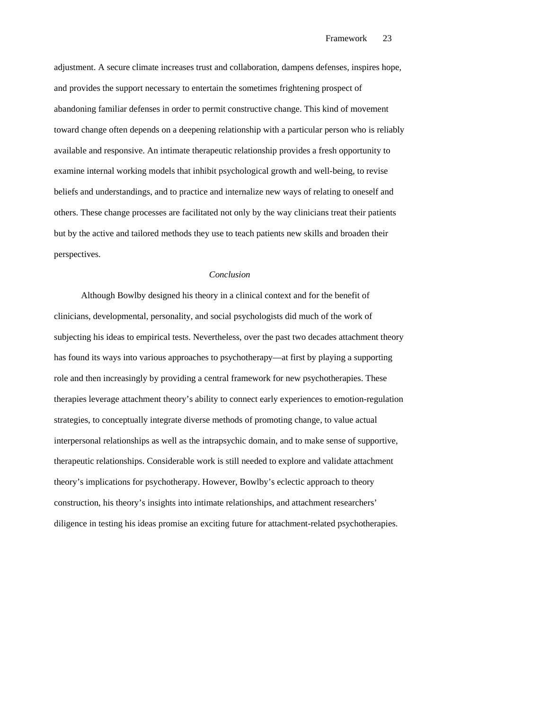adjustment. A secure climate increases trust and collaboration, dampens defenses, inspires hope, and provides the support necessary to entertain the sometimes frightening prospect of abandoning familiar defenses in order to permit constructive change. This kind of movement toward change often depends on a deepening relationship with a particular person who is reliably available and responsive. An intimate therapeutic relationship provides a fresh opportunity to examine internal working models that inhibit psychological growth and well-being, to revise beliefs and understandings, and to practice and internalize new ways of relating to oneself and others. These change processes are facilitated not only by the way clinicians treat their patients but by the active and tailored methods they use to teach patients new skills and broaden their perspectives.

### *Conclusion*

Although Bowlby designed his theory in a clinical context and for the benefit of clinicians, developmental, personality, and social psychologists did much of the work of subjecting his ideas to empirical tests. Nevertheless, over the past two decades attachment theory has found its ways into various approaches to psychotherapy—at first by playing a supporting role and then increasingly by providing a central framework for new psychotherapies. These therapies leverage attachment theory's ability to connect early experiences to emotion-regulation strategies, to conceptually integrate diverse methods of promoting change, to value actual interpersonal relationships as well as the intrapsychic domain, and to make sense of supportive, therapeutic relationships. Considerable work is still needed to explore and validate attachment theory's implications for psychotherapy. However, Bowlby's eclectic approach to theory construction, his theory's insights into intimate relationships, and attachment researchers' diligence in testing his ideas promise an exciting future for attachment-related psychotherapies.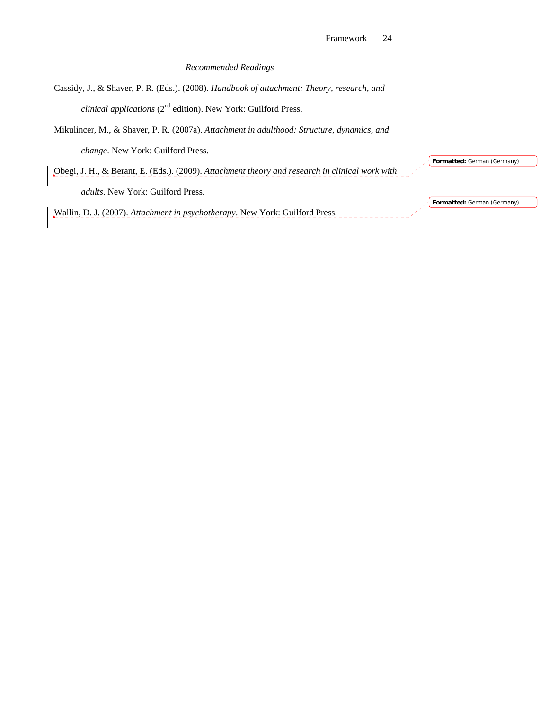## *Recommended Readings*

Cassidy, J., & Shaver, P. R. (Eds.). (2008). *Handbook of attachment: Theory, research, and clinical applications* (2nd edition). New York: Guilford Press.

Mikulincer, M., & Shaver, P. R. (2007a). *Attachment in adulthood: Structure, dynamics, and* 

*change*. New York: Guilford Press.

Obegi, J. H., & Berant, E. (Eds.). (2009). *Attachment theory and research in clinical work with adults*. New York: Guilford Press.

Wallin, D. J. (2007). *Attachment in psychotherapy*. New York: Guilford Press.

**Formatted:** German (Germany)

**Formatted:** German (Germany)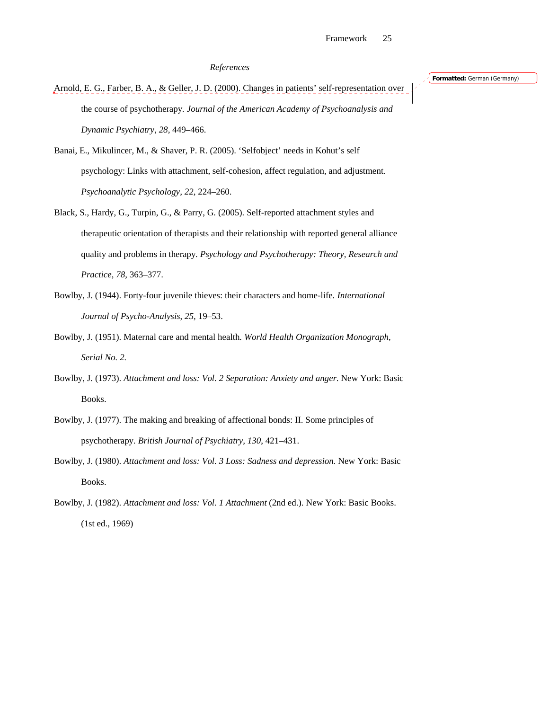## *References*

Arnold, E. G., Farber, B. A., & Geller, J. D. (2000). Changes in patients' self-representation over the course of psychotherapy*. Journal of the American Academy of Psychoanalysis and Dynamic Psychiatry*, *28,* 449–466.

Banai, E., Mikulincer, M., & Shaver, P. R. (2005). 'Selfobject' needs in Kohut's self psychology: Links with attachment, self-cohesion, affect regulation, and adjustment. *Psychoanalytic Psychology, 22*, 224–260.

- Black, S., Hardy, G., Turpin, G., & Parry, G. (2005). Self-reported attachment styles and therapeutic orientation of therapists and their relationship with reported general alliance quality and problems in therapy*. Psychology and Psychotherapy: Theory, Research and Practice*, *78,* 363–377.
- Bowlby, J. (1944). Forty-four juvenile thieves: their characters and home-life*. International Journal of Psycho-Analysis*, *25,* 19–53.
- Bowlby, J. (1951). Maternal care and mental health*. World Health Organization Monograph*, *Serial No. 2.*
- Bowlby, J. (1973). *Attachment and loss: Vol. 2 Separation: Anxiety and anger.* New York: Basic Books.
- Bowlby, J. (1977). The making and breaking of affectional bonds: II. Some principles of psychotherapy*. British Journal of Psychiatry, 130*, 421–431.
- Bowlby, J. (1980). *Attachment and loss: Vol. 3 Loss: Sadness and depression.* New York: Basic Books.
- Bowlby, J. (1982). *Attachment and loss: Vol. 1 Attachment* (2nd ed.). New York: Basic Books. (1st ed., 1969)

**Formatted:** German (Germany)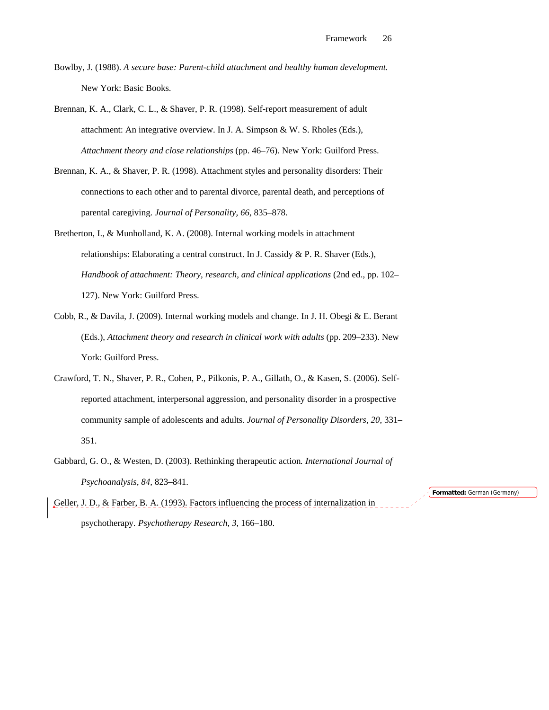Bowlby, J. (1988). *A secure base: Parent-child attachment and healthy human development.* New York: Basic Books.

Brennan, K. A., Clark, C. L., & Shaver, P. R. (1998). Self-report measurement of adult attachment: An integrative overview. In J. A. Simpson & W. S. Rholes (Eds.), *Attachment theory and close relationships* (pp. 46–76). New York: Guilford Press.

- Brennan, K. A., & Shaver, P. R. (1998). Attachment styles and personality disorders: Their connections to each other and to parental divorce, parental death, and perceptions of parental caregiving. *Journal of Personality, 66*, 835–878.
- Bretherton, I., & Munholland, K. A. (2008). Internal working models in attachment relationships: Elaborating a central construct. In J. Cassidy & P. R. Shaver (Eds.), *Handbook of attachment: Theory, research, and clinical applications* (2nd ed., pp. 102– 127). New York: Guilford Press.
- Cobb, R., & Davila, J. (2009). Internal working models and change. In J. H. Obegi & E. Berant (Eds.), *Attachment theory and research in clinical work with adults* (pp. 209–233). New York: Guilford Press.
- Crawford, T. N., Shaver, P. R., Cohen, P., Pilkonis, P. A., Gillath, O., & Kasen, S. (2006). Selfreported attachment, interpersonal aggression, and personality disorder in a prospective community sample of adolescents and adults. *Journal of Personality Disorders, 20*, 331– 351.
- Gabbard, G. O., & Westen, D. (2003). Rethinking therapeutic action*. International Journal of Psychoanalysis*, *84,* 823–841.
- Geller, J. D., & Farber, B. A. (1993). Factors influencing the process of internalization in psychotherapy*. Psychotherapy Research*, *3,* 166–180.

**Formatted:** German (Germany)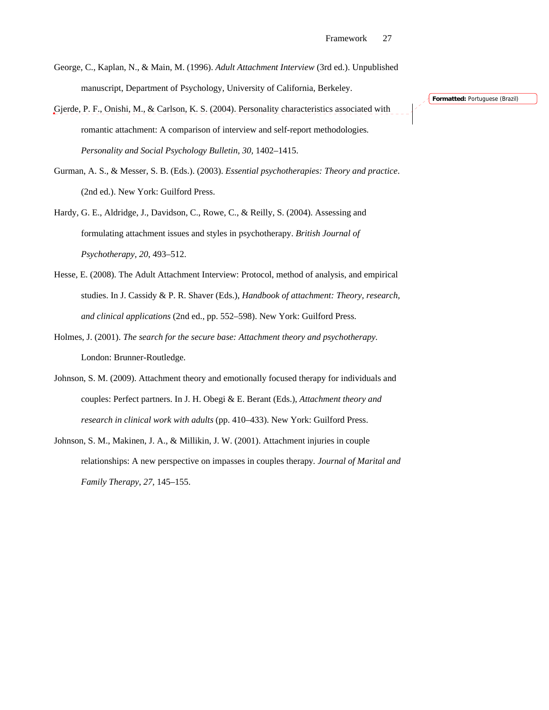- George, C., Kaplan, N., & Main, M. (1996). *Adult Attachment Interview* (3rd ed.). Unpublished manuscript, Department of Psychology, University of California, Berkeley.
- Gjerde, P. F., Onishi, M., & Carlson, K. S. (2004). Personality characteristics associated with romantic attachment: A comparison of interview and self-report methodologies*. Personality and Social Psychology Bulletin*, *30,* 1402–1415.
- Gurman, A. S., & Messer, S. B. (Eds.). (2003). *Essential psychotherapies: Theory and practice*. (2nd ed.). New York: Guilford Press.
- Hardy, G. E., Aldridge, J., Davidson, C., Rowe, C., & Reilly, S. (2004). Assessing and formulating attachment issues and styles in psychotherapy. *British Journal of Psychotherapy, 20*, 493–512.
- Hesse, E. (2008). The Adult Attachment Interview: Protocol, method of analysis, and empirical studies. In J. Cassidy & P. R. Shaver (Eds.), *Handbook of attachment: Theory, research, and clinical applications* (2nd ed., pp. 552–598). New York: Guilford Press.
- Holmes, J. (2001). *The search for the secure base: Attachment theory and psychotherapy.* London: Brunner-Routledge.
- Johnson, S. M. (2009). Attachment theory and emotionally focused therapy for individuals and couples: Perfect partners. In J. H. Obegi & E. Berant (Eds.), *Attachment theory and research in clinical work with adults* (pp. 410–433). New York: Guilford Press.
- Johnson, S. M., Makinen, J. A., & Millikin, J. W. (2001). Attachment injuries in couple relationships: A new perspective on impasses in couples therapy*. Journal of Marital and Family Therapy*, *27,* 145–155.

**Formatted:** Portuguese (Brazil)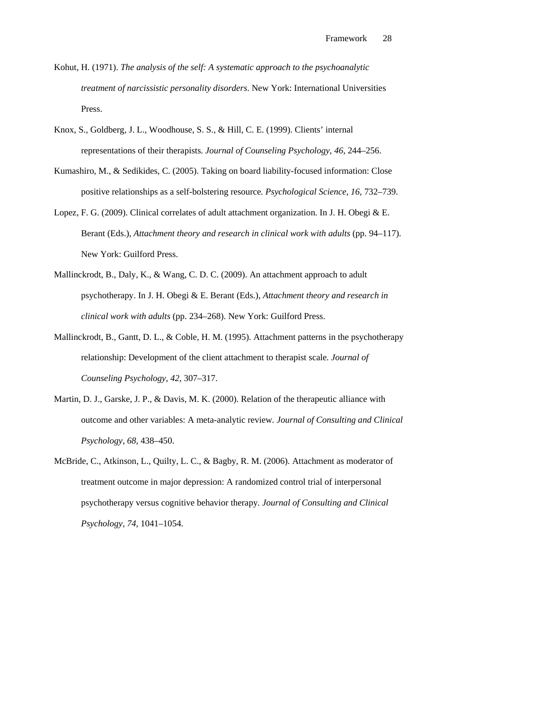- Kohut, H. (1971). *The analysis of the self: A systematic approach to the psychoanalytic treatment of narcissistic personality disorders*. New York: International Universities Press.
- Knox, S., Goldberg, J. L., Woodhouse, S. S., & Hill, C. E. (1999). Clients' internal representations of their therapists*. Journal of Counseling Psychology*, *46,* 244–256.
- Kumashiro, M., & Sedikides, C. (2005). Taking on board liability-focused information: Close positive relationships as a self-bolstering resource*. Psychological Science*, *16,* 732–739.
- Lopez, F. G. (2009). Clinical correlates of adult attachment organization. In J. H. Obegi & E. Berant (Eds.), *Attachment theory and research in clinical work with adults* (pp. 94–117). New York: Guilford Press.
- Mallinckrodt, B., Daly, K., & Wang, C. D. C. (2009). An attachment approach to adult psychotherapy. In J. H. Obegi & E. Berant (Eds.), *Attachment theory and research in clinical work with adults* (pp. 234–268). New York: Guilford Press.
- Mallinckrodt, B., Gantt, D. L., & Coble, H. M. (1995). Attachment patterns in the psychotherapy relationship: Development of the client attachment to therapist scale*. Journal of Counseling Psychology*, *42,* 307–317.
- Martin, D. J., Garske, J. P., & Davis, M. K. (2000). Relation of the therapeutic alliance with outcome and other variables: A meta-analytic review*. Journal of Consulting and Clinical Psychology*, *68,* 438–450.
- McBride, C., Atkinson, L., Quilty, L. C., & Bagby, R. M. (2006). Attachment as moderator of treatment outcome in major depression: A randomized control trial of interpersonal psychotherapy versus cognitive behavior therapy*. Journal of Consulting and Clinical Psychology*, *74,* 1041–1054.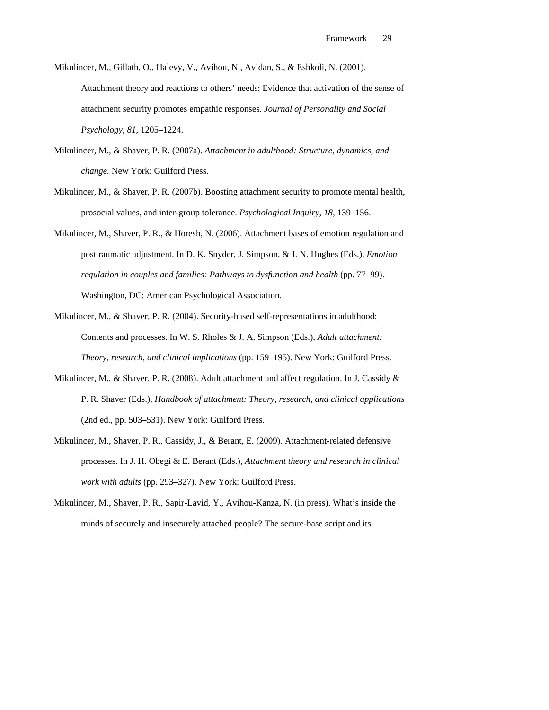- Mikulincer, M., Gillath, O., Halevy, V., Avihou, N., Avidan, S., & Eshkoli, N. (2001). Attachment theory and reactions to others' needs: Evidence that activation of the sense of attachment security promotes empathic responses*. Journal of Personality and Social Psychology*, *81,* 1205–1224.
- Mikulincer, M., & Shaver, P. R. (2007a). *Attachment in adulthood: Structure, dynamics, and change.* New York: Guilford Press.
- Mikulincer, M., & Shaver, P. R. (2007b). Boosting attachment security to promote mental health, prosocial values, and inter-group tolerance*. Psychological Inquiry*, *18,* 139–156.
- Mikulincer, M., Shaver, P. R., & Horesh, N. (2006). Attachment bases of emotion regulation and posttraumatic adjustment. In D. K. Snyder, J. Simpson, & J. N. Hughes (Eds.), *Emotion regulation in couples and families: Pathways to dysfunction and health* (pp. 77–99). Washington, DC: American Psychological Association.
- Mikulincer, M., & Shaver, P. R. (2004). Security-based self-representations in adulthood: Contents and processes. In W. S. Rholes & J. A. Simpson (Eds.), *Adult attachment: Theory, research, and clinical implications* (pp. 159–195). New York: Guilford Press.
- Mikulincer, M., & Shaver, P. R. (2008). Adult attachment and affect regulation. In J. Cassidy & P. R. Shaver (Eds.), *Handbook of attachment: Theory, research, and clinical applications* (2nd ed., pp. 503–531). New York: Guilford Press.
- Mikulincer, M., Shaver, P. R., Cassidy, J., & Berant, E. (2009). Attachment-related defensive processes. In J. H. Obegi & E. Berant (Eds.), *Attachment theory and research in clinical work with adults* (pp. 293–327). New York: Guilford Press.
- Mikulincer, M., Shaver, P. R., Sapir-Lavid, Y., Avihou-Kanza, N. (in press). What's inside the minds of securely and insecurely attached people? The secure-base script and its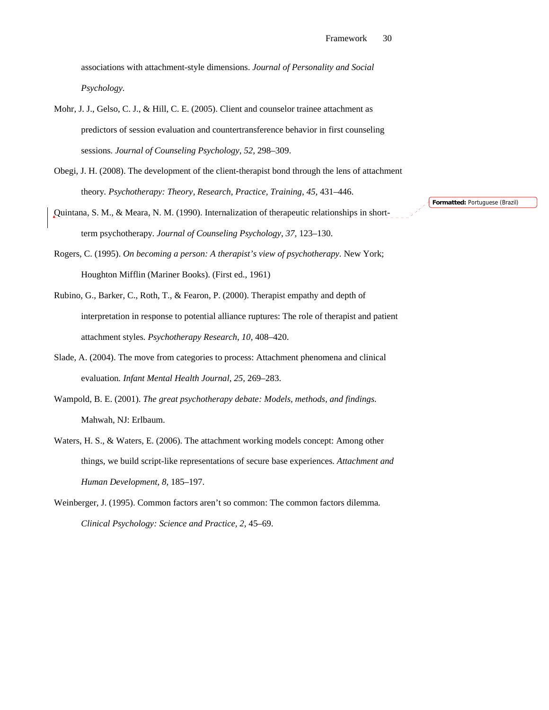associations with attachment-style dimensions. *Journal of Personality and Social Psychology.* 

- Mohr, J. J., Gelso, C. J., & Hill, C. E. (2005). Client and counselor trainee attachment as predictors of session evaluation and countertransference behavior in first counseling sessions*. Journal of Counseling Psychology*, *52,* 298–309.
- Obegi, J. H. (2008). The development of the client-therapist bond through the lens of attachment theory*. Psychotherapy: Theory, Research, Practice, Training*, *45,* 431–446.
- Quintana, S. M., & Meara, N. M. (1990). Internalization of therapeutic relationships in shortterm psychotherapy*. Journal of Counseling Psychology*, *37,* 123–130.
- Rogers, C. (1995). *On becoming a person: A therapist's view of psychotherapy.* New York; Houghton Mifflin (Mariner Books). (First ed., 1961)
- Rubino, G., Barker, C., Roth, T., & Fearon, P. (2000). Therapist empathy and depth of interpretation in response to potential alliance ruptures: The role of therapist and patient attachment styles*. Psychotherapy Research*, *10,* 408–420.
- Slade, A. (2004). The move from categories to process: Attachment phenomena and clinical evaluation*. Infant Mental Health Journal*, *25,* 269–283.
- Wampold, B. E. (2001). *The great psychotherapy debate: Models, methods, and findings.* Mahwah, NJ: Erlbaum.
- Waters, H. S., & Waters, E. (2006). The attachment working models concept: Among other things, we build script-like representations of secure base experiences*. Attachment and Human Development*, *8,* 185–197.
- Weinberger, J. (1995). Common factors aren't so common: The common factors dilemma*. Clinical Psychology: Science and Practice*, *2,* 45–69.

**Formatted:** Portuguese (Brazil)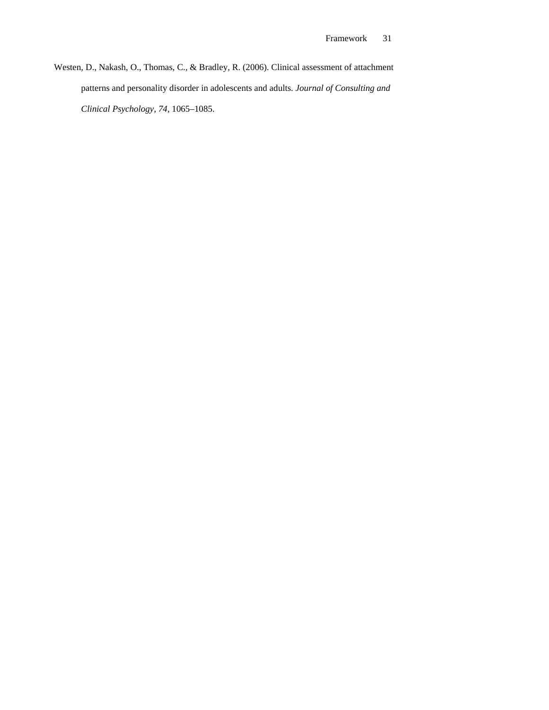Westen, D., Nakash, O., Thomas, C., & Bradley, R. (2006). Clinical assessment of attachment patterns and personality disorder in adolescents and adults*. Journal of Consulting and Clinical Psychology*, *74,* 1065–1085.